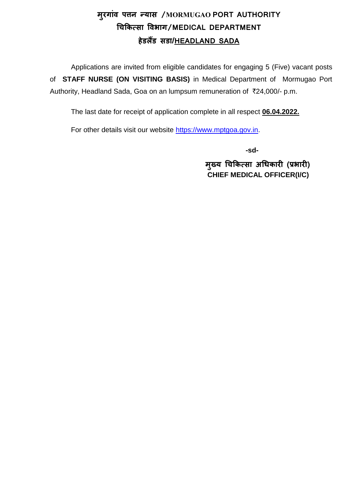# **म ुरगाांव पत्तन न्यास /MORMUGAO PORT AUTHORITY चिकित्सा ववभाग/MEDICAL DEPARTMENT हेडलैंड सडा/HEADLAND SADA**

Applications are invited from eligible candidates for engaging 5 (Five) vacant posts of **STAFF NURSE (ON VISITING BASIS)** in Medical Department of Mormugao Port Authority, Headland Sada, Goa on an lumpsum remuneration of `24,000/- p.m.

The last date for receipt of application complete in all respect **06.04.2022.**

For other details visit our website [https://www.mptgoa.gov.in.](https://www.mptgoa.gov.in/)

 **-sd-**

 **म ु ख्य चिकित्सा अचििारी (प्रभारी) CHIEF MEDICAL OFFICER(I/C)**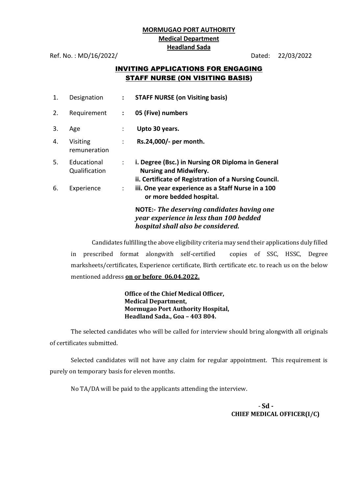#### **MORMUGAO PORT AUTHORITY Medical Department Headland Sada**

Ref. No. : MD/16/2022/ Dated: 22/03/2022

### INVITING APPLICATIONS FOR ENGAGING STAFF NURSE (ON VISITING BASIS)

| 1. | Designation                  | $\mathbf{L}$                | <b>STAFF NURSE (on Visiting basis)</b>                                                                                                      |
|----|------------------------------|-----------------------------|---------------------------------------------------------------------------------------------------------------------------------------------|
| 2. | Requirement                  | $\mathcal{L}^{\mathcal{L}}$ | 05 (Five) numbers                                                                                                                           |
| 3. | Age                          |                             | Upto 30 years.                                                                                                                              |
| 4. | Visiting<br>remuneration     | $\mathcal{L}$               | Rs.24,000/- per month.                                                                                                                      |
| 5. | Educational<br>Qualification | $\mathbb{R}^{\mathbb{Z}}$   | i. Degree (Bsc.) in Nursing OR Diploma in General<br><b>Nursing and Midwifery.</b><br>ii. Certificate of Registration of a Nursing Council. |
| 6. | Experience                   | $\mathbb{Z}^{\mathbb{Z}}$   | iii. One year experience as a Staff Nurse in a 100<br>or more bedded hospital.                                                              |
|    |                              |                             | <b>NOTE:- The deserving candidates having one</b><br>year experience in less than 100 bedded<br>hospital shall also be considered.          |

Candidates fulfilling the above eligibility criteria may send their applications duly filled in prescribed format alongwith self-certified copies of SSC, HSSC, Degree marksheets/certificates, Experience certificate, Birth certificate etc. to reach us on the below mentioned address **on or before 06.04.2022.**

> **Office of the Chief Medical Officer, Medical Department, Mormugao Port Authority Hospital, Headland Sada., Goa – 403 804.**

The selected candidates who will be called for interview should bring alongwith all originals of certificates submitted.

Selected candidates will not have any claim for regular appointment. This requirement is purely on temporary basis for eleven months.

No TA/DA will be paid to the applicants attending the interview.

- **Sd - CHIEF MEDICAL OFFICER(I/C)**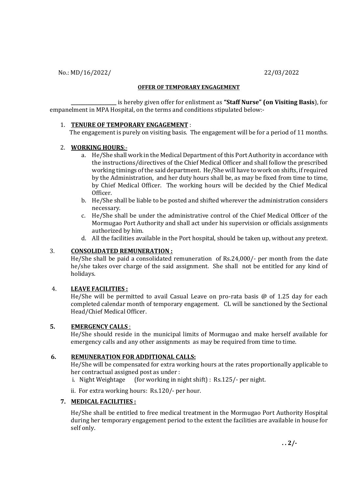No.: MD/16/2022/ 22/03/2022

#### **OFFER OF TEMPORARY ENGAGEMENT**

**\_\_\_\_\_\_\_\_\_\_\_\_\_\_\_\_\_\_\_** is hereby given offer for enlistment as **"Staff Nurse" (on Visiting Basis**), for empanelment in MPA Hospital, on the terms and conditions stipulated below:-

#### 1. **TENURE OF TEMPORARY ENGAGEMENT** :

The engagement is purely on visiting basis. The engagement will be for a period of 11 months.

#### 2. **WORKING HOURS**:-

- a. He/She shall work in the Medical Department of this Port Authority in accordance with the instructions/directives of the Chief Medical Officer and shall follow the prescribed working timings of the said department. He/She will have to work on shifts, if required by the Administration, and her duty hours shall be, as may be fixed from time to time, by Chief Medical Officer. The working hours will be decided by the Chief Medical Officer.
- b. He/She shall be liable to be posted and shifted wherever the administration considers necessary.
- c. He/She shall be under the administrative control of the Chief Medical Officer of the Mormugao Port Authority and shall act under his supervision or officials assignments authorized by him.
- d. All the facilities available in the Port hospital, should be taken up, without any pretext.

#### 3. **CONSOLIDATED REMUNERATION :**

He/She shall be paid a consolidated remuneration of Rs.24,000/- per month from the date he/she takes over charge of the said assignment. She shall not be entitled for any kind of holidays.

#### 4. **LEAVE FACILITIES :**

He/She will be permitted to avail Casual Leave on pro-rata basis @ of 1.25 day for each completed calendar month of temporary engagement. CL will be sanctioned by the Sectional Head/Chief Medical Officer.

#### **5. EMERGENCY CALLS** :

He/She should reside in the municipal limits of Mormugao and make herself available for emergency calls and any other assignments as may be required from time to time.

#### **6. REMUNERATION FOR ADDITIONAL CALLS:**

He/She will be compensated for extra working hours at the rates proportionally applicable to her contractual assigned post as under :

i. Night Weightage (for working in night shift) : Rs.125/- per night.

ii. For extra working hours: Rs.120/- per hour.

#### **7. MEDICAL FACILITIES :**

He/She shall be entitled to free medical treatment in the Mormugao Port Authority Hospital during her temporary engagement period to the extent the facilities are available in house for self only.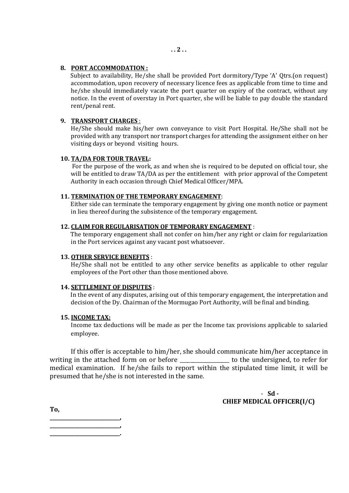Subject to availability, He/she shall be provided Port dormitory/Type 'A' Qtrs.(on request) accommodation, upon recovery of necessary licence fees as applicable from time to time and he/she should immediately vacate the port quarter on expiry of the contract, without any notice. In the event of overstay in Port quarter, she will be liable to pay double the standard rent/penal rent.

#### **9. TRANSPORT CHARGES** :

He/She should make his/her own conveyance to visit Port Hospital. He/She shall not be provided with any transport nor transport charges for attending the assignment either on her visiting days or beyond visiting hours.

#### **10. TA/DA FOR TOUR TRAVEL:**

 For the purpose of the work, as and when she is required to be deputed on official tour, she will be entitled to draw TA/DA as per the entitlement with prior approval of the Competent Authority in each occasion through Chief Medical Officer/MPA.

#### **11. TERMINATION OF THE TEMPORARY ENGAGEMENT**:

 Either side can terminate the temporary engagement by giving one month notice or payment in lieu thereof during the subsistence of the temporary engagement.

#### **12. CLAIM FOR REGULARISATION OF TEMPORARY ENGAGEMENT** :

 The temporary engagement shall not confer on him/her any right or claim for regularization in the Port services against any vacant post whatsoever.

#### **13. OTHER SERVICE BENEFITS** :

He/She shall not be entitled to any other service benefits as applicable to other regular employees of the Port other than those mentioned above.

#### **14. SETTLEMENT OF DISPUTES** :

 In the event of any disputes, arising out of this temporary engagement, the interpretation and decision of the Dy. Chairman of the Mormugao Port Authority, will be final and binding.

#### **15. INCOME TAX:**

Income tax deductions will be made as per the Income tax provisions applicable to salaried employee.

If this offer is acceptable to him/her, she should communicate him/her acceptance in writing in the attached form on or before \_\_\_\_\_\_\_\_\_\_\_\_\_\_\_\_\_\_\_\_\_ to the undersigned, to refer for medical examination. If he/she fails to report within the stipulated time limit, it will be presumed that he/she is not interested in the same.

> - **Sd - CHIEF MEDICAL OFFICER(I/C)**

**To,**

**\_\_\_\_\_\_\_\_\_\_\_\_\_\_\_\_\_\_\_\_\_\_\_\_\_\_\_\_, \_\_\_\_\_\_\_\_\_\_\_\_\_\_\_\_\_\_\_\_\_\_\_\_\_\_\_\_,**

**\_\_\_\_\_\_\_\_\_\_\_\_\_\_\_\_\_\_\_\_\_\_\_\_\_\_\_\_.**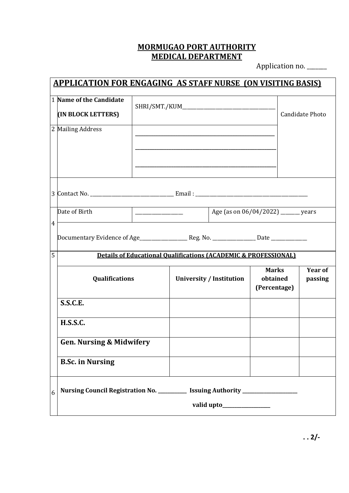## **MORMUGAO PORT AUTHORITY MEDICAL DEPARTMENT**

Application no. \_\_\_\_\_\_

| <b>APPLICATION FOR ENGAGING AS STAFF NURSE (ON VISITING BASIS)</b> |                                                                                  |  |                                 |  |                                          |  |                           |  |
|--------------------------------------------------------------------|----------------------------------------------------------------------------------|--|---------------------------------|--|------------------------------------------|--|---------------------------|--|
|                                                                    | 1 Name of the Candidate<br>(IN BLOCK LETTERS)                                    |  |                                 |  |                                          |  | <b>Candidate Photo</b>    |  |
|                                                                    | 2 Mailing Address                                                                |  |                                 |  |                                          |  |                           |  |
|                                                                    |                                                                                  |  |                                 |  |                                          |  |                           |  |
|                                                                    | Date of Birth<br>Age (as on 06/04/2022) _______ years                            |  |                                 |  |                                          |  |                           |  |
|                                                                    | 4                                                                                |  |                                 |  |                                          |  |                           |  |
| 5                                                                  | <b>Details of Educational Qualifications (ACADEMIC &amp; PROFESSIONAL)</b>       |  |                                 |  |                                          |  |                           |  |
|                                                                    | Qualifications                                                                   |  | <b>University / Institution</b> |  | <b>Marks</b><br>obtained<br>(Percentage) |  | <b>Year of</b><br>passing |  |
|                                                                    | S.S.C.E.                                                                         |  |                                 |  |                                          |  |                           |  |
|                                                                    | <b>H.S.S.C.</b>                                                                  |  |                                 |  |                                          |  |                           |  |
|                                                                    | <b>Gen. Nursing &amp; Midwifery</b>                                              |  |                                 |  |                                          |  |                           |  |
|                                                                    | <b>B.Sc. in Nursing</b>                                                          |  |                                 |  |                                          |  |                           |  |
| 6                                                                  | Nursing Council Registration No. ___________ Issuing Authority _________________ |  |                                 |  |                                          |  |                           |  |